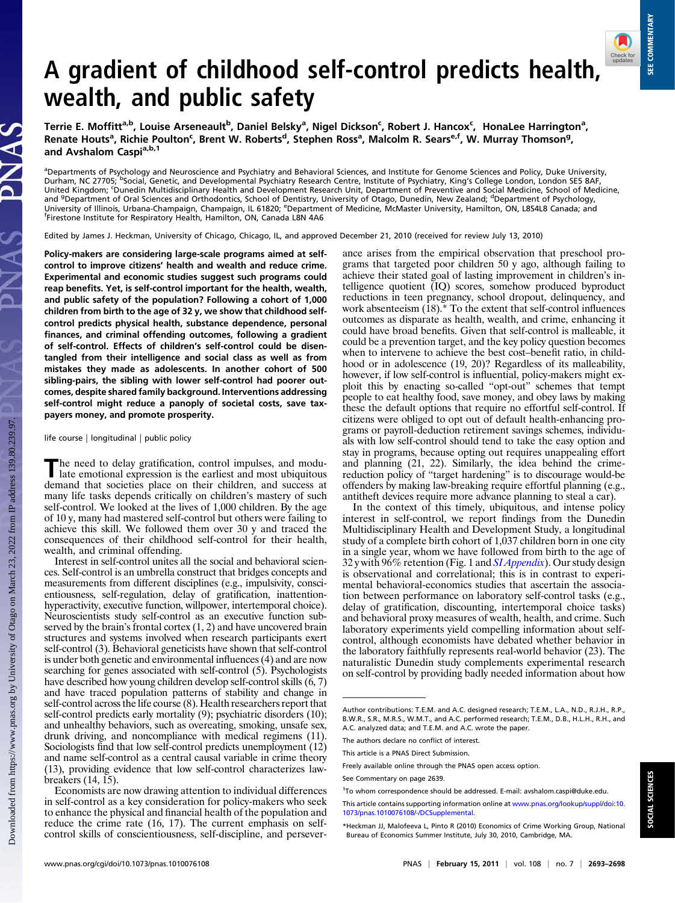## A gradient of childhood self-control predicts health, wealth, and public safety

Terrie E. Moffitt<sup>a,b</sup>, Louise Arseneault<sup>b</sup>, Daniel Belsky<sup>a</sup>, Nigel Dickson<sup>c</sup>, Robert J. Hancox<sup>c</sup>, HonaLee Harrington<sup>a</sup>, Renate Houts<sup>a</sup>, Richie Poulton<sup>c</sup>, Brent W. Roberts<sup>d</sup>, Stephen Ross<sup>a</sup>, Malcolm R. Sears<sup>e,f</sup>, W. Murray Thomson<sup>g</sup>, and Avshalom Caspi<sup>a,b,1</sup>

a<br>Departments of Psychology and Neuroscience and Psychiatry and Behavioral Sciences, and Institute for Genome Sciences and Policy, Duke University, Durham, NC 27705; <sup>'b</sup>Social, Genetic, and Developmental Psychiatry Research Centre, Institute of Psychiatry, King's College London, London SE5 8AF, United Kingdom; <sup>c</sup>Dunedin Multidisciplinary Health and Development Research Unit, Department of Preventive and Social Medicine, School of Medicine, and <sup>g</sup>Department of Oral Sciences and Orthodontics, School of Dentistry, University of Otago, Dunedin, New Zealand; <sup>d</sup>Department of Psychology,<br>University of Illinois, Urbana-Champaign, Champaign, IL 61820; <sup>e</sup>Department Firestone Institute for Respiratory Health, Hamilton, ON, Canada L8N 4A6

Edited by James J. Heckman, University of Chicago, Chicago, IL, and approved December 21, 2010 (received for review July 13, 2010)

Policy-makers are considering large-scale programs aimed at selfcontrol to improve citizens' health and wealth and reduce crime. Experimental and economic studies suggest such programs could reap benefits. Yet, is self-control important for the health, wealth, and public safety of the population? Following a cohort of 1,000 children from birth to the age of 32 y, we show that childhood selfcontrol predicts physical health, substance dependence, personal finances, and criminal offending outcomes, following a gradient of self-control. Effects of children's self-control could be disentangled from their intelligence and social class as well as from mistakes they made as adolescents. In another cohort of 500 sibling-pairs, the sibling with lower self-control had poorer outcomes, despite shared family background. Interventions addressing self-control might reduce a panoply of societal costs, save taxpayers money, and promote prosperity.

life course | longitudinal | public policy

The need to delay gratification, control impulses, and modu-late emotional expression is the earliest and most ubiquitous demand that societies place on their children, and success at many life tasks depends critically on children's mastery of such self-control. We looked at the lives of 1,000 children. By the age of 10 y, many had mastered self-control but others were failing to achieve this skill. We followed them over 30 y and traced the consequences of their childhood self-control for their health, wealth, and criminal offending.

Interest in self-control unites all the social and behavioral sciences. Self-control is an umbrella construct that bridges concepts and measurements from different disciplines (e.g., impulsivity, conscientiousness, self-regulation, delay of gratification, inattentionhyperactivity, executive function, willpower, intertemporal choice). Neuroscientists study self-control as an executive function subserved by the brain's frontal cortex  $(1, 2)$  and have uncovered brain structures and systems involved when research participants exert self-control (3). Behavioral geneticists have shown that self-control is under both genetic and environmental influences (4) and are now searching for genes associated with self-control (5). Psychologists have described how young children develop self-control skills  $(6, 7)$ and have traced population patterns of stability and change in self-control across the life course (8). Health researchers report that self-control predicts early mortality (9); psychiatric disorders (10); and unhealthy behaviors, such as overeating, smoking, unsafe sex, drunk driving, and noncompliance with medical regimens (11). Sociologists find that low self-control predicts unemployment (12) and name self-control as a central causal variable in crime theory (13), providing evidence that low self-control characterizes lawbreakers (14, 15).

Economists are now drawing attention to individual differences in self-control as a key consideration for policy-makers who seek to enhance the physical and financial health of the population and reduce the crime rate (16, 17). The current emphasis on selfcontrol skills of conscientiousness, self-discipline, and perseverance arises from the empirical observation that preschool programs that targeted poor children 50 y ago, although failing to achieve their stated goal of lasting improvement in children's intelligence quotient (IQ) scores, somehow produced byproduct reductions in teen pregnancy, school dropout, delinquency, and work absenteeism (18).\* To the extent that self-control influences outcomes as disparate as health, wealth, and crime, enhancing it could have broad benefits. Given that self-control is malleable, it could be a prevention target, and the key policy question becomes when to intervene to achieve the best cost–benefit ratio, in childhood or in adolescence (19, 20)? Regardless of its malleability, however, if low self-control is influential, policy-makers might exploit this by enacting so-called "opt-out" schemes that tempt people to eat healthy food, save money, and obey laws by making these the default options that require no effortful self-control. If citizens were obliged to opt out of default health-enhancing programs or payroll-deduction retirement savings schemes, individuals with low self-control should tend to take the easy option and stay in programs, because opting out requires unappealing effort and planning (21, 22). Similarly, the idea behind the crimereduction policy of "target hardening" is to discourage would-be offenders by making law-breaking require effortful planning (e.g., antitheft devices require more advance planning to steal a car).

In the context of this timely, ubiquitous, and intense policy interest in self-control, we report findings from the Dunedin Multidisciplinary Health and Development Study, a longitudinal study of a complete birth cohort of 1,037 children born in one city in a single year, whom we have followed from birth to the age of 32 y with 96% retention (Fig. 1 and *[SI Appendix](http://www.pnas.org/lookup/suppl/doi:10.1073/pnas.1010076108/-/DCSupplemental/sapp.pdf)*). Our study design is observational and correlational; this is in contrast to experimental behavioral-economics studies that ascertain the association between performance on laboratory self-control tasks (e.g., delay of gratification, discounting, intertemporal choice tasks) and behavioral proxy measures of wealth, health, and crime. Such laboratory experiments yield compelling information about selfcontrol, although economists have debated whether behavior in the laboratory faithfully represents real-world behavior (23). The naturalistic Dunedin study complements experimental research on self-control by providing badly needed information about how

Author contributions: T.E.M. and A.C. designed research; T.E.M., L.A., N.D., R.J.H., R.P., B.W.R., S.R., M.R.S., W.M.T., and A.C. performed research; T.E.M., D.B., H.L.H., R.H., and A.C. analyzed data; and T.E.M. and A.C. wrote the paper.

The authors declare no conflict of interest.

This article is a PNAS Direct Submission.

Freely available online through the PNAS open access option.

See Commentary on page 2639. <sup>1</sup>To whom correspondence should be addressed. E-mail: [avshalom.caspi@duke.edu.](mailto:avshalom.caspi@duke.edu) This article contains supporting information online at [www.pnas.org/lookup/suppl/doi:10.](http://www.pnas.org/lookup/suppl/doi:10.1073/pnas.1010076108/-/DCSupplemental)

[<sup>1073/</sup>pnas.1010076108/-/DCSupplemental](http://www.pnas.org/lookup/suppl/doi:10.1073/pnas.1010076108/-/DCSupplemental).

<sup>\*</sup>Heckman JJ, Malofeeva L, Pinto R (2010) Economics of Crime Working Group, National Bureau of Economics Summer Institute, July 30, 2010, Cambridge, MA.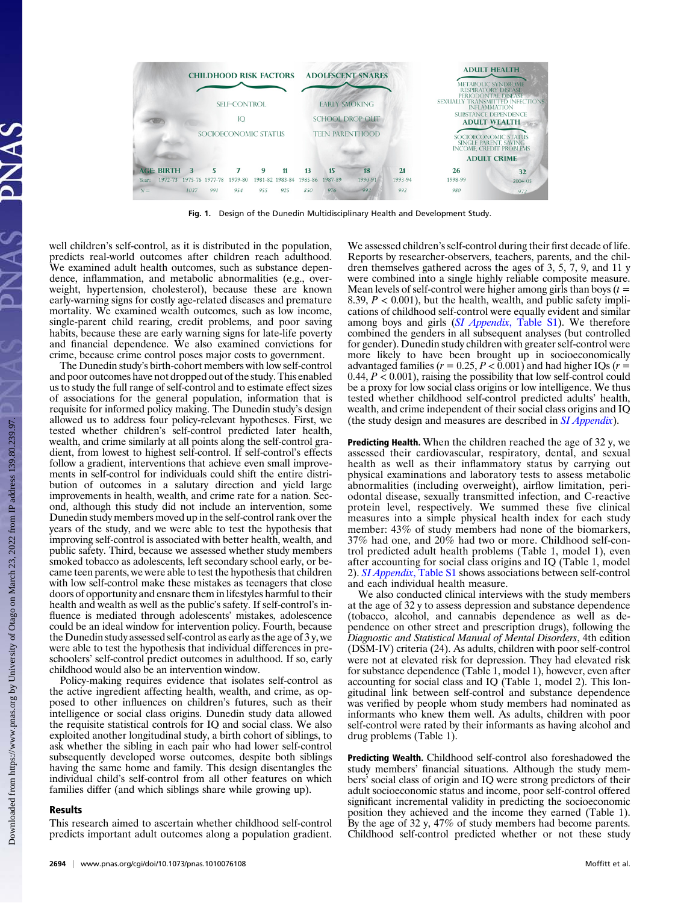

Fig. 1. Design of the Dunedin Multidisciplinary Health and Development Study.

well children's self-control, as it is distributed in the population, predicts real-world outcomes after children reach adulthood. We examined adult health outcomes, such as substance dependence, inflammation, and metabolic abnormalities (e.g., overweight, hypertension, cholesterol), because these are known early-warning signs for costly age-related diseases and premature mortality. We examined wealth outcomes, such as low income, single-parent child rearing, credit problems, and poor saving habits, because these are early warning signs for late-life poverty and financial dependence. We also examined convictions for crime, because crime control poses major costs to government.

The Dunedin study's birth-cohort members with low self-control and poor outcomes have not dropped out of the study. This enabled us to study the full range of self-control and to estimate effect sizes of associations for the general population, information that is requisite for informed policy making. The Dunedin study's design allowed us to address four policy-relevant hypotheses. First, we tested whether children's self-control predicted later health, wealth, and crime similarly at all points along the self-control gradient, from lowest to highest self-control. If self-control's effects follow a gradient, interventions that achieve even small improvements in self-control for individuals could shift the entire distribution of outcomes in a salutary direction and yield large improvements in health, wealth, and crime rate for a nation. Second, although this study did not include an intervention, some Dunedin study members moved up in the self-control rank over the years of the study, and we were able to test the hypothesis that improving self-control is associated with better health, wealth, and public safety. Third, because we assessed whether study members smoked tobacco as adolescents, left secondary school early, or became teen parents, we were able to test the hypothesis that children with low self-control make these mistakes as teenagers that close doors of opportunity and ensnare them in lifestyles harmful to their health and wealth as well as the public's safety. If self-control's influence is mediated through adolescents' mistakes, adolescence could be an ideal window for intervention policy. Fourth, because the Dunedin study assessed self-control as early as the age of 3 y, we were able to test the hypothesis that individual differences in preschoolers' self-control predict outcomes in adulthood. If so, early childhood would also be an intervention window.

Policy-making requires evidence that isolates self-control as the active ingredient affecting health, wealth, and crime, as opposed to other influences on children's futures, such as their intelligence or social class origins. Dunedin study data allowed the requisite statistical controls for IQ and social class. We also exploited another longitudinal study, a birth cohort of siblings, to ask whether the sibling in each pair who had lower self-control subsequently developed worse outcomes, despite both siblings having the same home and family. This design disentangles the individual child's self-control from all other features on which families differ (and which siblings share while growing up).

## Results

This research aimed to ascertain whether childhood self-control predicts important adult outcomes along a population gradient.

We assessed children's self-control during their first decade of life. Reports by researcher-observers, teachers, parents, and the children themselves gathered across the ages of 3, 5, 7, 9, and 11 y were combined into a single highly reliable composite measure. Mean levels of self-control were higher among girls than boys  $(t =$ 8.39,  $P < 0.001$ ), but the health, wealth, and public safety implications of childhood self-control were equally evident and similar among boys and girls ([SI Appendix](http://www.pnas.org/lookup/suppl/doi:10.1073/pnas.1010076108/-/DCSupplemental/sapp.pdf), Table S1). We therefore combined the genders in all subsequent analyses (but controlled for gender). Dunedin study children with greater self-control were more likely to have been brought up in socioeconomically advantaged families ( $r = 0.25, P < 0.001$ ) and had higher IQs ( $r =$ 0.44,  $P \le 0.001$ ), raising the possibility that low self-control could be a proxy for low social class origins or low intelligence. We thus tested whether childhood self-control predicted adults' health, wealth, and crime independent of their social class origins and IQ (the study design and measures are described in [SI Appendix](http://www.pnas.org/lookup/suppl/doi:10.1073/pnas.1010076108/-/DCSupplemental/sapp.pdf)).

**Predicting Health.** When the children reached the age of 32 y, we assessed their cardiovascular, respiratory, dental, and sexual health as well as their inflammatory status by carrying out physical examinations and laboratory tests to assess metabolic abnormalities (including overweight), airflow limitation, periodontal disease, sexually transmitted infection, and C-reactive protein level, respectively. We summed these five clinical measures into a simple physical health index for each study member: 43% of study members had none of the biomarkers, 37% had one, and 20% had two or more. Childhood self-control predicted adult health problems (Table 1, model 1), even after accounting for social class origins and IQ (Table 1, model 2). [SI Appendix](http://www.pnas.org/lookup/suppl/doi:10.1073/pnas.1010076108/-/DCSupplemental/sapp.pdf), Table S1 shows associations between self-control and each individual health measure.

We also conducted clinical interviews with the study members at the age of 32 y to assess depression and substance dependence (tobacco, alcohol, and cannabis dependence as well as dependence on other street and prescription drugs), following the Diagnostic and Statistical Manual of Mental Disorders, 4th edition (DSM-IV) criteria (24). As adults, children with poor self-control were not at elevated risk for depression. They had elevated risk for substance dependence (Table 1, model 1), however, even after accounting for social class and IQ (Table 1, model 2). This longitudinal link between self-control and substance dependence was verified by people whom study members had nominated as informants who knew them well. As adults, children with poor self-control were rated by their informants as having alcohol and drug problems (Table 1).

Predicting Wealth. Childhood self-control also foreshadowed the study members' financial situations. Although the study members' social class of origin and IQ were strong predictors of their adult socioeconomic status and income, poor self-control offered significant incremental validity in predicting the socioeconomic position they achieved and the income they earned (Table 1). By the age of 32 y, 47% of study members had become parents. Childhood self-control predicted whether or not these study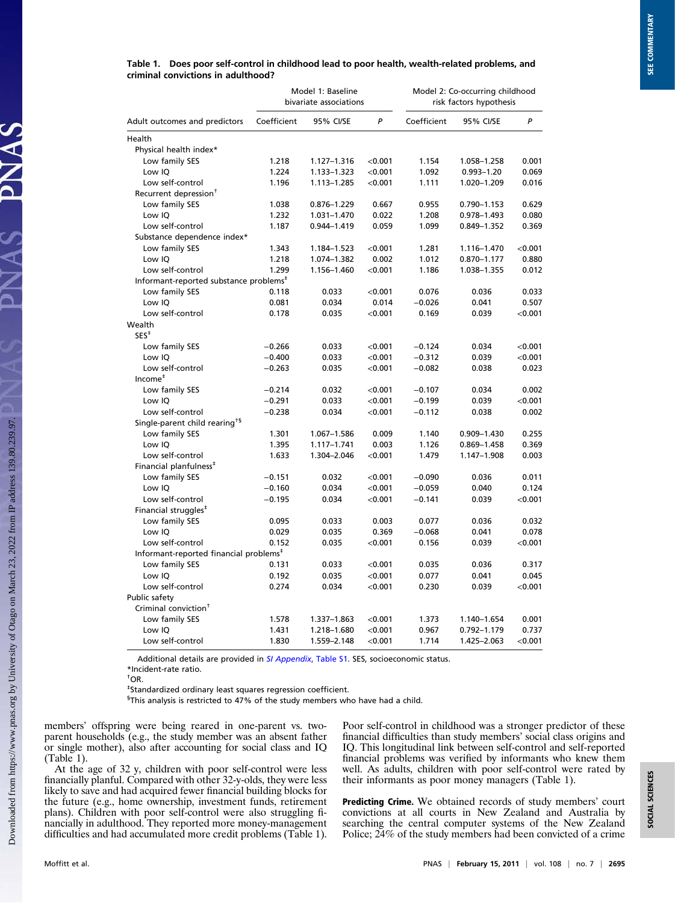| Table 1. Does poor self-control in childhood lead to poor health, wealth-related problems, and |
|------------------------------------------------------------------------------------------------|
| criminal convictions in adulthood?                                                             |

|                                                    | Model 1: Baseline<br>bivariate associations |                 |            | Model 2: Co-occurring childhood<br>risk factors hypothesis |                |         |
|----------------------------------------------------|---------------------------------------------|-----------------|------------|------------------------------------------------------------|----------------|---------|
| Adult outcomes and predictors                      | Coefficient                                 | 95% CI/SE       | P          | Coefficient                                                | 95% CI/SE      | P       |
| Health                                             |                                             |                 |            |                                                            |                |         |
| Physical health index*                             |                                             |                 |            |                                                            |                |         |
| Low family SES                                     | 1.218                                       | 1.127-1.316     | < 0.001    | 1.154                                                      | 1.058-1.258    | 0.001   |
| Low IQ                                             | 1.224                                       | 1.133-1.323     | < 0.001    | 1.092                                                      | $0.993 - 1.20$ | 0.069   |
| Low self-control                                   | 1.196                                       | 1.113-1.285     | ${<}0.001$ | 1.111                                                      | 1.020-1.209    | 0.016   |
| Recurrent depression <sup>+</sup>                  |                                             |                 |            |                                                            |                |         |
| Low family SES                                     | 1.038                                       | $0.876 - 1.229$ | 0.667      | 0.955                                                      | 0.790-1.153    | 0.629   |
| Low IQ                                             | 1.232                                       | 1.031-1.470     | 0.022      | 1.208                                                      | 0.978-1.493    | 0.080   |
| Low self-control                                   | 1.187                                       | 0.944-1.419     | 0.059      | 1.099                                                      | 0.849-1.352    | 0.369   |
| Substance dependence index*                        |                                             |                 |            |                                                            |                |         |
| Low family SES                                     | 1.343                                       | 1.184-1.523     | < 0.001    | 1.281                                                      | 1.116-1.470    | < 0.001 |
| Low IQ                                             | 1.218                                       | 1.074-1.382     | 0.002      | 1.012                                                      | 0.870-1.177    | 0.880   |
| Low self-control                                   | 1.299                                       | 1.156-1.460     | < 0.001    | 1.186                                                      | 1.038-1.355    | 0.012   |
| Informant-reported substance problems <sup>#</sup> |                                             |                 |            |                                                            |                |         |
| Low family SES                                     | 0.118                                       | 0.033           | < 0.001    | 0.076                                                      | 0.036          | 0.033   |
| Low IQ                                             | 0.081                                       | 0.034           | 0.014      | $-0.026$                                                   | 0.041          | 0.507   |
| Low self-control                                   | 0.178                                       | 0.035           | $<$ 0.001  | 0.169                                                      | 0.039          | < 0.001 |
| Wealth                                             |                                             |                 |            |                                                            |                |         |
| $SES^+$                                            |                                             |                 |            |                                                            |                |         |
| Low family SES                                     | $-0.266$                                    | 0.033           | < 0.001    | $-0.124$                                                   | 0.034          | < 0.001 |
| Low IQ                                             | $-0.400$                                    | 0.033           | $<$ 0.001  | $-0.312$                                                   | 0.039          | < 0.001 |
| Low self-control                                   | $-0.263$                                    | 0.035           | $<$ 0.001  | $-0.082$                                                   | 0.038          | 0.023   |
| Income <sup>#</sup>                                |                                             |                 |            |                                                            |                |         |
| Low family SES                                     | $-0.214$                                    | 0.032           | < 0.001    | $-0.107$                                                   | 0.034          | 0.002   |
| Low IQ                                             | $-0.291$                                    | 0.033           | < 0.001    | $-0.199$                                                   | 0.039          | < 0.001 |
| Low self-control                                   | $-0.238$                                    | 0.034           | $<$ 0.001  | $-0.112$                                                   | 0.038          | 0.002   |
| Single-parent child rearing <sup>t§</sup>          |                                             |                 |            |                                                            |                |         |
| Low family SES                                     | 1.301                                       | 1.067-1.586     | 0.009      | 1.140                                                      | 0.909-1.430    | 0.255   |
| Low IQ                                             | 1.395                                       | 1.117-1.741     | 0.003      | 1.126                                                      | 0.869-1.458    | 0.369   |
| Low self-control                                   | 1.633                                       | 1.304-2.046     | $<$ 0.001  | 1.479                                                      | 1.147-1.908    | 0.003   |
| Financial planfulness <sup>#</sup>                 |                                             |                 |            |                                                            |                |         |
| Low family SES                                     | $-0.151$                                    | 0.032           | < 0.001    | $-0.090$                                                   | 0.036          | 0.011   |
| Low IQ                                             | $-0.160$                                    | 0.034           | $<$ 0.001  | $-0.059$                                                   | 0.040          | 0.124   |
| Low self-control                                   | $-0.195$                                    | 0.034           | $<$ 0.001  | $-0.141$                                                   | 0.039          | < 0.001 |
| Financial struggles <sup>#</sup>                   |                                             |                 |            |                                                            |                |         |
| Low family SES                                     | 0.095                                       | 0.033           | 0.003      | 0.077                                                      | 0.036          | 0.032   |
| Low IO                                             | 0.029                                       | 0.035           | 0.369      | $-0.068$                                                   | 0.041          | 0.078   |
| Low self-control                                   | 0.152                                       | 0.035           | < 0.001    | 0.156                                                      | 0.039          | < 0.001 |
| Informant-reported financial problems <sup>#</sup> |                                             |                 |            |                                                            |                |         |
| Low family SES                                     | 0.131                                       | 0.033           | < 0.001    | 0.035                                                      | 0.036          | 0.317   |
| Low IQ                                             | 0.192                                       | 0.035           | $<$ 0.001  | 0.077                                                      | 0.041          | 0.045   |
| Low self-control                                   | 0.274                                       | 0.034           | $<$ 0.001  | 0.230                                                      | 0.039          | < 0.001 |
| Public safety                                      |                                             |                 |            |                                                            |                |         |
| Criminal conviction <sup>T</sup>                   |                                             |                 |            |                                                            |                |         |
| Low family SES                                     | 1.578                                       | 1.337-1.863     | < 0.001    | 1.373                                                      | 1.140-1.654    | 0.001   |
| Low IQ                                             | 1.431                                       | 1.218-1.680     | < 0.001    | 0.967                                                      | 0.792-1.179    | 0.737   |
| Low self-control                                   | 1.830                                       | 1.559-2.148     | $<$ 0.001  | 1.714                                                      | 1.425-2.063    | < 0.001 |
|                                                    |                                             |                 |            |                                                            |                |         |

Additional details are provided in [SI Appendix](http://www.pnas.org/lookup/suppl/doi:10.1073/pnas.1010076108/-/DCSupplemental/sapp.pdf), Table S1. SES, socioeconomic status.

\*Incident-rate ratio.

† OR.

‡ Standardized ordinary least squares regression coefficient.

§ This analysis is restricted to 47% of the study members who have had a child.

members' offspring were being reared in one-parent vs. twoparent households (e.g., the study member was an absent father or single mother), also after accounting for social class and IQ (Table 1).

At the age of 32 y, children with poor self-control were less financially planful. Compared with other 32-y-olds, they were less likely to save and had acquired fewer financial building blocks for the future (e.g., home ownership, investment funds, retirement plans). Children with poor self-control were also struggling financially in adulthood. They reported more money-management difficulties and had accumulated more credit problems (Table 1).

Poor self-control in childhood was a stronger predictor of these financial difficulties than study members' social class origins and IQ. This longitudinal link between self-control and self-reported financial problems was verified by informants who knew them well. As adults, children with poor self-control were rated by their informants as poor money managers (Table 1).

Predicting Crime. We obtained records of study members' court convictions at all courts in New Zealand and Australia by searching the central computer systems of the New Zealand Police; 24% of the study members had been convicted of a crime

PNAS PNAS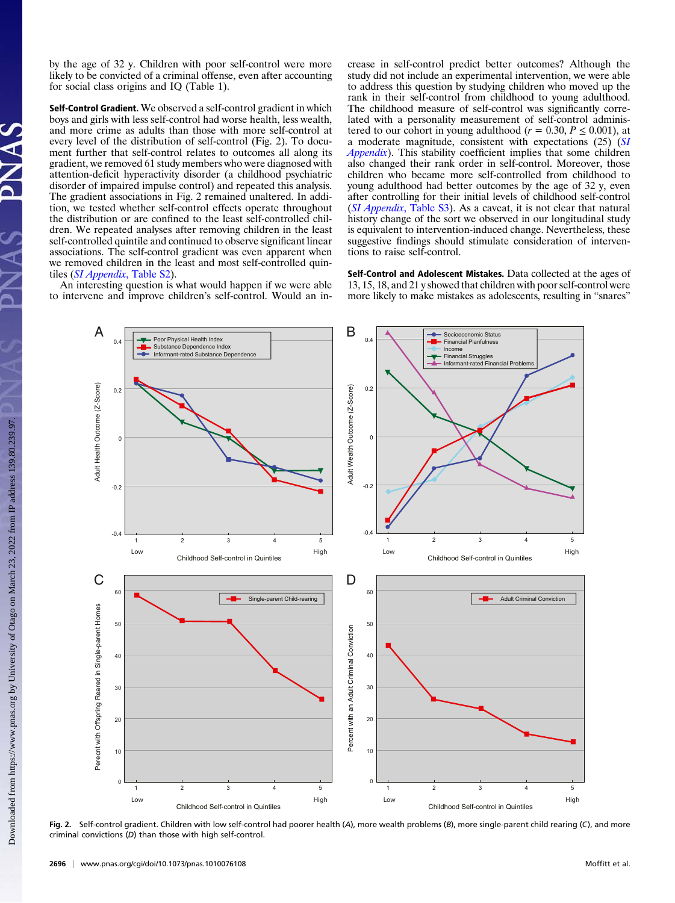by the age of 32 y. Children with poor self-control were more likely to be convicted of a criminal offense, even after accounting for social class origins and IQ (Table 1).

Self-Control Gradient. We observed a self-control gradient in which boys and girls with less self-control had worse health, less wealth, and more crime as adults than those with more self-control at every level of the distribution of self-control (Fig. 2). To document further that self-control relates to outcomes all along its gradient, we removed 61 study members who were diagnosed with attention-deficit hyperactivity disorder (a childhood psychiatric disorder of impaired impulse control) and repeated this analysis. The gradient associations in Fig. 2 remained unaltered. In addition, we tested whether self-control effects operate throughout the distribution or are confined to the least self-controlled children. We repeated analyses after removing children in the least self-controlled quintile and continued to observe significant linear associations. The self-control gradient was even apparent when we removed children in the least and most self-controlled quintiles ([SI Appendix](http://www.pnas.org/lookup/suppl/doi:10.1073/pnas.1010076108/-/DCSupplemental/sapp.pdf), Table S2).

An interesting question is what would happen if we were able to intervene and improve children's self-control. Would an increase in self-control predict better outcomes? Although the study did not include an experimental intervention, we were able to address this question by studying children who moved up the rank in their self-control from childhood to young adulthood. The childhood measure of self-control was significantly correlated with a personality measurement of self-control administered to our cohort in young adulthood ( $r = 0.30, P \le 0.001$ ), at a moderate magnitude, consistent with expectations (25) ([SI](http://www.pnas.org/lookup/suppl/doi:10.1073/pnas.1010076108/-/DCSupplemental/sapp.pdf) [Appendix](http://www.pnas.org/lookup/suppl/doi:10.1073/pnas.1010076108/-/DCSupplemental/sapp.pdf)). This stability coefficient implies that some children also changed their rank order in self-control. Moreover, those children who became more self-controlled from childhood to young adulthood had better outcomes by the age of 32 y, even after controlling for their initial levels of childhood self-control ([SI Appendix](http://www.pnas.org/lookup/suppl/doi:10.1073/pnas.1010076108/-/DCSupplemental/sapp.pdf), Table S3). As a caveat, it is not clear that natural history change of the sort we observed in our longitudinal study is equivalent to intervention-induced change. Nevertheless, these suggestive findings should stimulate consideration of interventions to raise self-control.

Self-Control and Adolescent Mistakes. Data collected at the ages of 13, 15, 18, and 21 y showed that children with poor self-control were more likely to make mistakes as adolescents, resulting in "snares"



Fig. 2. Self-control gradient. Children with low self-control had poorer health (A), more wealth problems (B), more single-parent child rearing (C), and more criminal convictions (D) than those with high self-control.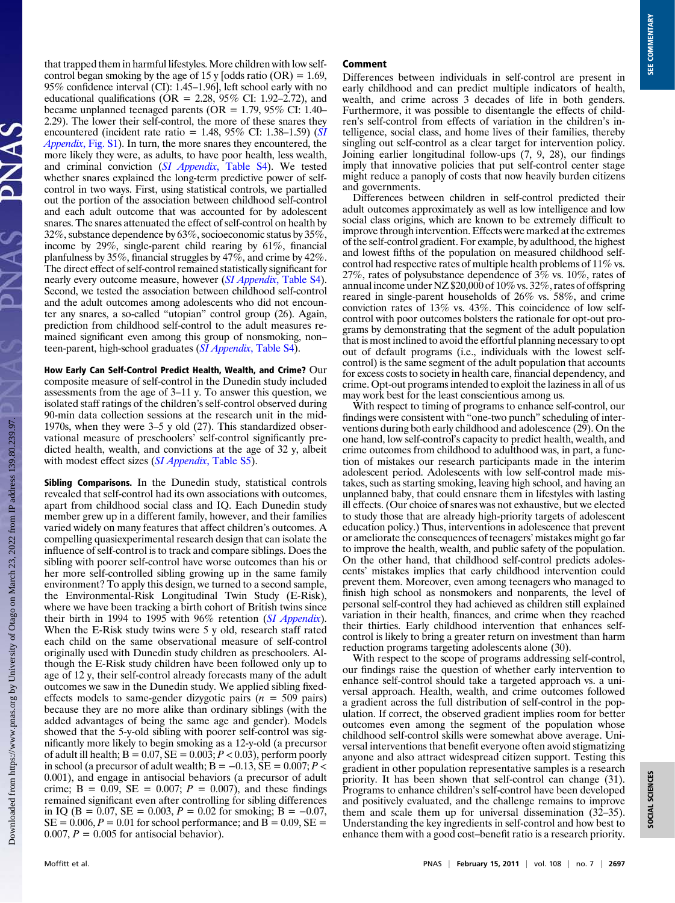that trapped them in harmful lifestyles. More children with low selfcontrol began smoking by the age of 15 y [odds ratio  $(OR) = 1.69$ , 95% confidence interval (CI): 1.45–1.96], left school early with no educational qualifications ( $OR = 2.28$ , 95% CI: 1.92–2.72), and became unplanned teenaged parents ( $OR = 1.79$ , 95% CI: 1.40– 2.29). The lower their self-control, the more of these snares they encountered (incident rate ratio = 1.48, 95% CI: 1.38–1.59) ( $\overline{SI}$  $\overline{SI}$  $\overline{SI}$ [Appendix](http://www.pnas.org/lookup/suppl/doi:10.1073/pnas.1010076108/-/DCSupplemental/sapp.pdf), Fig. S1). In turn, the more snares they encountered, the more likely they were, as adults, to have poor health, less wealth, and criminal conviction ([SI Appendix](http://www.pnas.org/lookup/suppl/doi:10.1073/pnas.1010076108/-/DCSupplemental/sapp.pdf), Table S4). We tested whether snares explained the long-term predictive power of selfcontrol in two ways. First, using statistical controls, we partialled out the portion of the association between childhood self-control and each adult outcome that was accounted for by adolescent snares. The snares attenuated the effect of self-control on health by 32%, substance dependence by 63%, socioeconomic status by 35%, income by 29%, single-parent child rearing by 61%, financial planfulness by 35%, financial struggles by 47%, and crime by 42%. The direct effect of self-control remained statistically significant for nearly every outcome measure, however *([SI Appendix](http://www.pnas.org/lookup/suppl/doi:10.1073/pnas.1010076108/-/DCSupplemental/sapp.pdf)*, Table S4). Second, we tested the association between childhood self-control and the adult outcomes among adolescents who did not encounter any snares, a so-called "utopian" control group (26). Again, prediction from childhood self-control to the adult measures remained significant even among this group of nonsmoking, non– teen-parent, high-school graduates ([SI Appendix](http://www.pnas.org/lookup/suppl/doi:10.1073/pnas.1010076108/-/DCSupplemental/sapp.pdf), Table S4).

How Early Can Self-Control Predict Health, Wealth, and Crime? Our composite measure of self-control in the Dunedin study included assessments from the age of 3–11 y. To answer this question, we isolated staff ratings of the children's self-control observed during 90-min data collection sessions at the research unit in the mid-1970s, when they were 3–5 y old (27). This standardized observational measure of preschoolers' self-control significantly predicted health, wealth, and convictions at the age of 32 y, albeit with modest effect sizes ([SI Appendix](http://www.pnas.org/lookup/suppl/doi:10.1073/pnas.1010076108/-/DCSupplemental/sapp.pdf), Table S5).

Sibling Comparisons. In the Dunedin study, statistical controls revealed that self-control had its own associations with outcomes, apart from childhood social class and IQ. Each Dunedin study member grew up in a different family, however, and their families varied widely on many features that affect children's outcomes. A compelling quasiexperimental research design that can isolate the influence of self-control is to track and compare siblings. Does the sibling with poorer self-control have worse outcomes than his or her more self-controlled sibling growing up in the same family environment? To apply this design, we turned to a second sample, the Environmental-Risk Longitudinal Twin Study (E-Risk), where we have been tracking a birth cohort of British twins since their birth in 1994 to 1995 with 96% retention ([SI Appendix](http://www.pnas.org/lookup/suppl/doi:10.1073/pnas.1010076108/-/DCSupplemental/sapp.pdf)). When the E-Risk study twins were 5 y old, research staff rated each child on the same observational measure of self-control originally used with Dunedin study children as preschoolers. Although the E-Risk study children have been followed only up to age of 12 y, their self-control already forecasts many of the adult outcomes we saw in the Dunedin study. We applied sibling fixedeffects models to same-gender dizygotic pairs ( $n = 509$  pairs) because they are no more alike than ordinary siblings (with the added advantages of being the same age and gender). Models showed that the 5-y-old sibling with poorer self-control was significantly more likely to begin smoking as a 12-y-old (a precursor of adult ill health;  $B = 0.07$ ,  $SE = 0.003$ ;  $P < 0.03$ ), perform poorly in school (a precursor of adult wealth;  $B = -0.13$ ,  $SE = 0.007$ ;  $P <$ 0.001), and engage in antisocial behaviors (a precursor of adult crime;  $B = 0.09$ ,  $SE = 0.007$ ;  $P = 0.007$ ), and these findings remained significant even after controlling for sibling differences in IQ (B =  $0.07$ , SE =  $0.003$ , P =  $0.02$  for smoking; B =  $-0.07$ ,  $SE = 0.006, P = 0.01$  for school performance; and  $B = 0.09$ ,  $SE =$ 0.007,  $P = 0.005$  for antisocial behavior).

## Comment

Differences between individuals in self-control are present in early childhood and can predict multiple indicators of health, wealth, and crime across 3 decades of life in both genders. Furthermore, it was possible to disentangle the effects of children's self-control from effects of variation in the children's intelligence, social class, and home lives of their families, thereby singling out self-control as a clear target for intervention policy. Joining earlier longitudinal follow-ups (7, 9, 28), our findings imply that innovative policies that put self-control center stage might reduce a panoply of costs that now heavily burden citizens and governments.

Differences between children in self-control predicted their adult outcomes approximately as well as low intelligence and low social class origins, which are known to be extremely difficult to improve through intervention. Effects were marked at the extremes of the self-control gradient. For example, by adulthood, the highest and lowest fifths of the population on measured childhood selfcontrol had respective rates of multiple health problems of 11% vs. 27%, rates of polysubstance dependence of 3% vs. 10%, rates of annual income under NZ \$20,000 of 10% vs. 32%, rates of offspring reared in single-parent households of 26% vs. 58%, and crime conviction rates of 13% vs. 43%. This coincidence of low selfcontrol with poor outcomes bolsters the rationale for opt-out programs by demonstrating that the segment of the adult population that is most inclined to avoid the effortful planning necessary to opt out of default programs (i.e., individuals with the lowest selfcontrol) is the same segment of the adult population that accounts for excess costs to society in health care, financial dependency, and crime. Opt-out programs intended to exploit the laziness in all of us may work best for the least conscientious among us.

With respect to timing of programs to enhance self-control, our findings were consistent with "one-two punch" scheduling of interventions during both early childhood and adolescence (29). On the one hand, low self-control's capacity to predict health, wealth, and crime outcomes from childhood to adulthood was, in part, a function of mistakes our research participants made in the interim adolescent period. Adolescents with low self-control made mistakes, such as starting smoking, leaving high school, and having an unplanned baby, that could ensnare them in lifestyles with lasting ill effects. (Our choice of snares was not exhaustive, but we elected to study those that are already high-priority targets of adolescent education policy.) Thus, interventions in adolescence that prevent or ameliorate the consequences of teenagers' mistakes might go far to improve the health, wealth, and public safety of the population. On the other hand, that childhood self-control predicts adolescents' mistakes implies that early childhood intervention could prevent them. Moreover, even among teenagers who managed to finish high school as nonsmokers and nonparents, the level of personal self-control they had achieved as children still explained variation in their health, finances, and crime when they reached their thirties. Early childhood intervention that enhances selfcontrol is likely to bring a greater return on investment than harm reduction programs targeting adolescents alone (30).

With respect to the scope of programs addressing self-control, our findings raise the question of whether early intervention to enhance self-control should take a targeted approach vs. a universal approach. Health, wealth, and crime outcomes followed a gradient across the full distribution of self-control in the population. If correct, the observed gradient implies room for better outcomes even among the segment of the population whose childhood self-control skills were somewhat above average. Universal interventions that benefit everyone often avoid stigmatizing anyone and also attract widespread citizen support. Testing this gradient in other population representative samples is a research priority. It has been shown that self-control can change (31). Programs to enhance children's self-control have been developed and positively evaluated, and the challenge remains to improve them and scale them up for universal dissemination  $(32-35)$ . Understanding the key ingredients in self-control and how best to enhance them with a good cost–benefit ratio is a research priority.

Downloaded from https://www.pnas.org by University of Otago on March 23, 2022 from IP address 139.80.239.97.

Downloaded from https://www.pnas.org by University of Otago on March 23, 2022 from IP address 139.80.239.97.